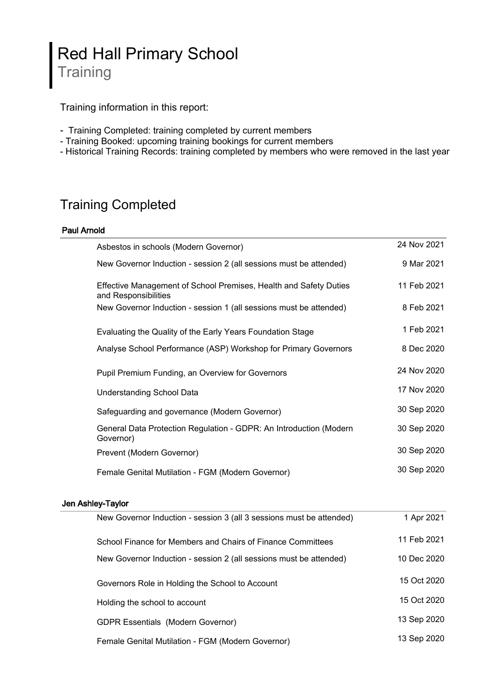# Red Hall Primary School **Training**

Training information in this report:

- Training Completed: training completed by current members
- Training Booked: upcoming training bookings for current members
- Historical Training Records: training completed by members who were removed in the last year

### Training Completed

#### Paul Arnold

| Asbestos in schools (Modern Governor)                                                     | 24 Nov 2021 |
|-------------------------------------------------------------------------------------------|-------------|
| New Governor Induction - session 2 (all sessions must be attended)                        | 9 Mar 2021  |
| Effective Management of School Premises, Health and Safety Duties<br>and Responsibilities | 11 Feb 2021 |
| New Governor Induction - session 1 (all sessions must be attended)                        | 8 Feb 2021  |
| Evaluating the Quality of the Early Years Foundation Stage                                | 1 Feb 2021  |
| Analyse School Performance (ASP) Workshop for Primary Governors                           | 8 Dec 2020  |
| Pupil Premium Funding, an Overview for Governors                                          | 24 Nov 2020 |
| <b>Understanding School Data</b>                                                          | 17 Nov 2020 |
| Safeguarding and governance (Modern Governor)                                             | 30 Sep 2020 |
| General Data Protection Regulation - GDPR: An Introduction (Modern<br>Governor)           | 30 Sep 2020 |
| Prevent (Modern Governor)                                                                 | 30 Sep 2020 |
| Female Genital Mutilation - FGM (Modern Governor)                                         | 30 Sep 2020 |

#### Jen Ashley-Taylor

| New Governor Induction - session 3 (all 3 sessions must be attended) | 1 Apr 2021  |
|----------------------------------------------------------------------|-------------|
| School Finance for Members and Chairs of Finance Committees          | 11 Feb 2021 |
| New Governor Induction - session 2 (all sessions must be attended)   | 10 Dec 2020 |
| Governors Role in Holding the School to Account                      | 15 Oct 2020 |
| Holding the school to account                                        | 15 Oct 2020 |
| <b>GDPR Essentials (Modern Governor)</b>                             | 13 Sep 2020 |
| Female Genital Mutilation - FGM (Modern Governor)                    | 13 Sep 2020 |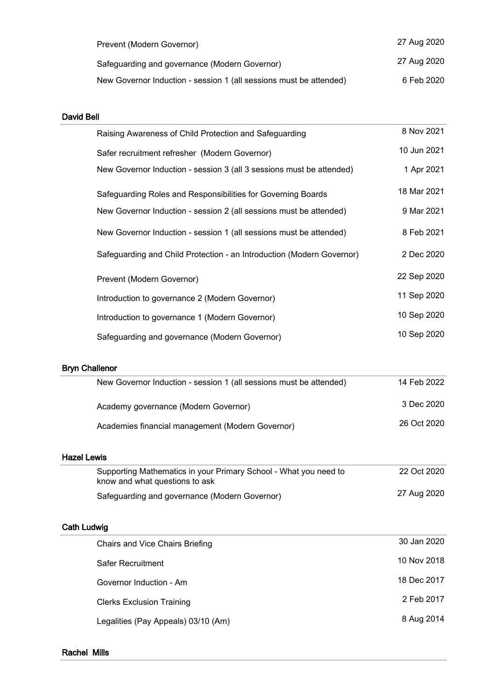| Prevent (Modern Governor)                                          | 27 Aug 2020 |
|--------------------------------------------------------------------|-------------|
| Safeguarding and governance (Modern Governor)                      | 27 Aug 2020 |
| New Governor Induction - session 1 (all sessions must be attended) | 6 Feb 2020  |

| <b>David Bell</b> |                                                                       |             |
|-------------------|-----------------------------------------------------------------------|-------------|
|                   | Raising Awareness of Child Protection and Safeguarding                | 8 Nov 2021  |
|                   | Safer recruitment refresher (Modern Governor)                         | 10 Jun 2021 |
|                   | New Governor Induction - session 3 (all 3 sessions must be attended)  | 1 Apr 2021  |
|                   | Safeguarding Roles and Responsibilities for Governing Boards          | 18 Mar 2021 |
|                   | New Governor Induction - session 2 (all sessions must be attended)    | 9 Mar 2021  |
|                   | New Governor Induction - session 1 (all sessions must be attended)    | 8 Feb 2021  |
|                   | Safeguarding and Child Protection - an Introduction (Modern Governor) | 2 Dec 2020  |
|                   | Prevent (Modern Governor)                                             | 22 Sep 2020 |
|                   | Introduction to governance 2 (Modern Governor)                        | 11 Sep 2020 |
|                   | Introduction to governance 1 (Modern Governor)                        | 10 Sep 2020 |
|                   | Safeguarding and governance (Modern Governor)                         | 10 Sep 2020 |
|                   |                                                                       |             |

| <b>Bryn Challenor</b> |  |
|-----------------------|--|
|-----------------------|--|

| New Governor Induction - session 1 (all sessions must be attended) | 14 Feb 2022 |
|--------------------------------------------------------------------|-------------|
| Academy governance (Modern Governor)                               | 3 Dec 2020  |
| Academies financial management (Modern Governor)                   | 26 Oct 2020 |

#### Hazel Lewis

| Supporting Mathematics in your Primary School - What you need to<br>know and what questions to ask | 22 Oct 2020 |
|----------------------------------------------------------------------------------------------------|-------------|
| Safeguarding and governance (Modern Governor)                                                      | 27 Aug 2020 |

### Cath Ludwig

| Chairs and Vice Chairs Briefing     | 30 Jan 2020 |
|-------------------------------------|-------------|
| <b>Safer Recruitment</b>            | 10 Nov 2018 |
| Governor Induction - Am             | 18 Dec 2017 |
| <b>Clerks Exclusion Training</b>    | 2 Feb 2017  |
| Legalities (Pay Appeals) 03/10 (Am) | 8 Aug 2014  |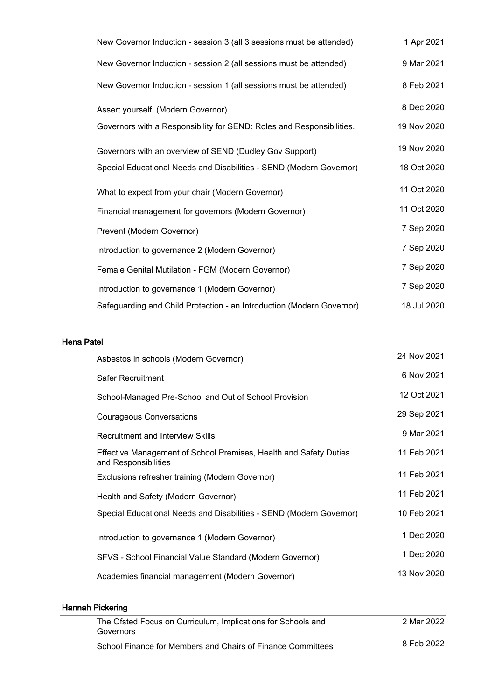| New Governor Induction - session 3 (all 3 sessions must be attended)  | 1 Apr 2021  |
|-----------------------------------------------------------------------|-------------|
| New Governor Induction - session 2 (all sessions must be attended)    | 9 Mar 2021  |
| New Governor Induction - session 1 (all sessions must be attended)    | 8 Feb 2021  |
| Assert yourself (Modern Governor)                                     | 8 Dec 2020  |
| Governors with a Responsibility for SEND: Roles and Responsibilities. | 19 Nov 2020 |
| Governors with an overview of SEND (Dudley Gov Support)               | 19 Nov 2020 |
| Special Educational Needs and Disabilities - SEND (Modern Governor)   | 18 Oct 2020 |
| What to expect from your chair (Modern Governor)                      | 11 Oct 2020 |
| Financial management for governors (Modern Governor)                  | 11 Oct 2020 |
| Prevent (Modern Governor)                                             | 7 Sep 2020  |
| Introduction to governance 2 (Modern Governor)                        | 7 Sep 2020  |
| Female Genital Mutilation - FGM (Modern Governor)                     | 7 Sep 2020  |
| Introduction to governance 1 (Modern Governor)                        | 7 Sep 2020  |
| Safeguarding and Child Protection - an Introduction (Modern Governor) | 18 Jul 2020 |

#### Hena Patel

| Asbestos in schools (Modern Governor)                                                     | 24 Nov 2021 |
|-------------------------------------------------------------------------------------------|-------------|
| Safer Recruitment                                                                         | 6 Nov 2021  |
| School-Managed Pre-School and Out of School Provision                                     | 12 Oct 2021 |
| <b>Courageous Conversations</b>                                                           | 29 Sep 2021 |
| <b>Recruitment and Interview Skills</b>                                                   | 9 Mar 2021  |
| Effective Management of School Premises, Health and Safety Duties<br>and Responsibilities | 11 Feb 2021 |
| Exclusions refresher training (Modern Governor)                                           | 11 Feb 2021 |
| Health and Safety (Modern Governor)                                                       | 11 Feb 2021 |
| Special Educational Needs and Disabilities - SEND (Modern Governor)                       | 10 Feb 2021 |
| Introduction to governance 1 (Modern Governor)                                            | 1 Dec 2020  |
| SFVS - School Financial Value Standard (Modern Governor)                                  | 1 Dec 2020  |
| Academies financial management (Modern Governor)                                          | 13 Nov 2020 |
|                                                                                           |             |

#### Hannah Pickering

| The Ofsted Focus on Curriculum, Implications for Schools and<br>Governors | 2 Mar 2022 |
|---------------------------------------------------------------------------|------------|
| School Finance for Members and Chairs of Finance Committees               | 8 Feb 2022 |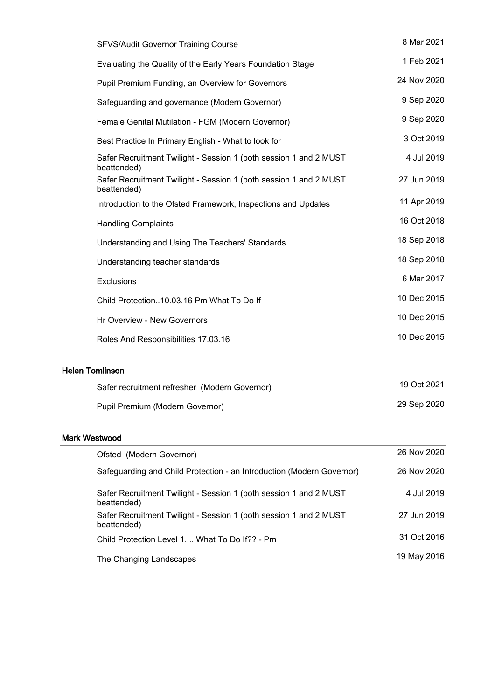| <b>SFVS/Audit Governor Training Course</b>                                       | 8 Mar 2021  |
|----------------------------------------------------------------------------------|-------------|
| Evaluating the Quality of the Early Years Foundation Stage                       | 1 Feb 2021  |
| Pupil Premium Funding, an Overview for Governors                                 | 24 Nov 2020 |
| Safeguarding and governance (Modern Governor)                                    | 9 Sep 2020  |
| Female Genital Mutilation - FGM (Modern Governor)                                | 9 Sep 2020  |
| Best Practice In Primary English - What to look for                              | 3 Oct 2019  |
| Safer Recruitment Twilight - Session 1 (both session 1 and 2 MUST<br>beattended) | 4 Jul 2019  |
| Safer Recruitment Twilight - Session 1 (both session 1 and 2 MUST<br>beattended) | 27 Jun 2019 |
| Introduction to the Ofsted Framework, Inspections and Updates                    | 11 Apr 2019 |
| <b>Handling Complaints</b>                                                       | 16 Oct 2018 |
| Understanding and Using The Teachers' Standards                                  | 18 Sep 2018 |
| Understanding teacher standards                                                  | 18 Sep 2018 |
| <b>Exclusions</b>                                                                | 6 Mar 2017  |
| Child Protection10.03.16 Pm What To Do If                                        | 10 Dec 2015 |
| Hr Overview - New Governors                                                      | 10 Dec 2015 |
| Roles And Responsibilities 17.03.16                                              | 10 Dec 2015 |

#### Helen Tomlinson

| Safer recruitment refresher (Modern Governor) | 19 Oct 2021 |
|-----------------------------------------------|-------------|
| Pupil Premium (Modern Governor)               | 29 Sep 2020 |

#### Mark Westwood

| Ofsted (Modern Governor)                                                         | 26 Nov 2020 |
|----------------------------------------------------------------------------------|-------------|
| Safeguarding and Child Protection - an Introduction (Modern Governor)            | 26 Nov 2020 |
| Safer Recruitment Twilight - Session 1 (both session 1 and 2 MUST<br>beattended) | 4 Jul 2019  |
| Safer Recruitment Twilight - Session 1 (both session 1 and 2 MUST<br>beattended) | 27 Jun 2019 |
| Child Protection Level 1 What To Do If?? - Pm                                    | 31 Oct 2016 |
| The Changing Landscapes                                                          | 19 May 2016 |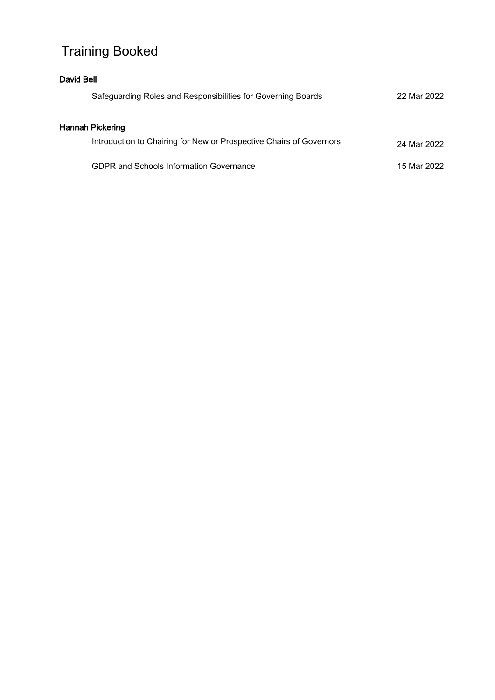# Training Booked

| David Bell                                                          |             |
|---------------------------------------------------------------------|-------------|
| Safeguarding Roles and Responsibilities for Governing Boards        | 22 Mar 2022 |
| <b>Hannah Pickering</b>                                             |             |
| Introduction to Chairing for New or Prospective Chairs of Governors | 24 Mar 2022 |
| GDPR and Schools Information Governance                             | 15 Mar 2022 |